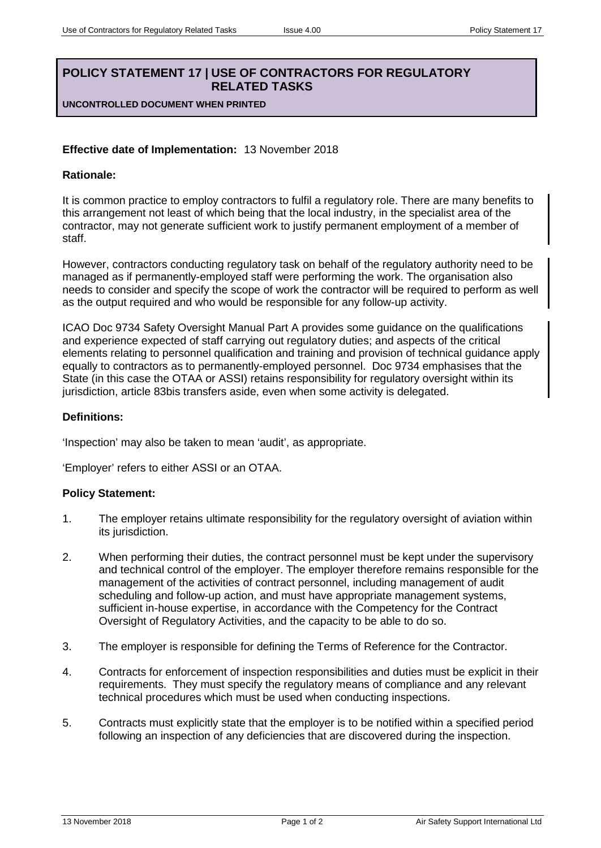# **POLICY STATEMENT 17 | USE OF CONTRACTORS FOR REGULATORY RELATED TASKS**

**UNCONTROLLED DOCUMENT WHEN PRINTED**

## **Effective date of Implementation:** 13 November 2018

### **Rationale:**

It is common practice to employ contractors to fulfil a regulatory role. There are many benefits to this arrangement not least of which being that the local industry, in the specialist area of the contractor, may not generate sufficient work to justify permanent employment of a member of staff.

However, contractors conducting regulatory task on behalf of the regulatory authority need to be managed as if permanently-employed staff were performing the work. The organisation also needs to consider and specify the scope of work the contractor will be required to perform as well as the output required and who would be responsible for any follow-up activity.

ICAO Doc 9734 Safety Oversight Manual Part A provides some guidance on the qualifications and experience expected of staff carrying out regulatory duties; and aspects of the critical elements relating to personnel qualification and training and provision of technical guidance apply equally to contractors as to permanently-employed personnel. Doc 9734 emphasises that the State (in this case the OTAA or ASSI) retains responsibility for regulatory oversight within its jurisdiction, article 83bis transfers aside, even when some activity is delegated.

### **Definitions:**

'Inspection' may also be taken to mean 'audit', as appropriate.

'Employer' refers to either ASSI or an OTAA.

### **Policy Statement:**

- 1. The employer retains ultimate responsibility for the regulatory oversight of aviation within its jurisdiction.
- 2. When performing their duties, the contract personnel must be kept under the supervisory and technical control of the employer. The employer therefore remains responsible for the management of the activities of contract personnel, including management of audit scheduling and follow-up action, and must have appropriate management systems, sufficient in-house expertise, in accordance with the Competency for the Contract Oversight of Regulatory Activities, and the capacity to be able to do so.
- 3. The employer is responsible for defining the Terms of Reference for the Contractor.
- 4. Contracts for enforcement of inspection responsibilities and duties must be explicit in their requirements. They must specify the regulatory means of compliance and any relevant technical procedures which must be used when conducting inspections.
- 5. Contracts must explicitly state that the employer is to be notified within a specified period following an inspection of any deficiencies that are discovered during the inspection.